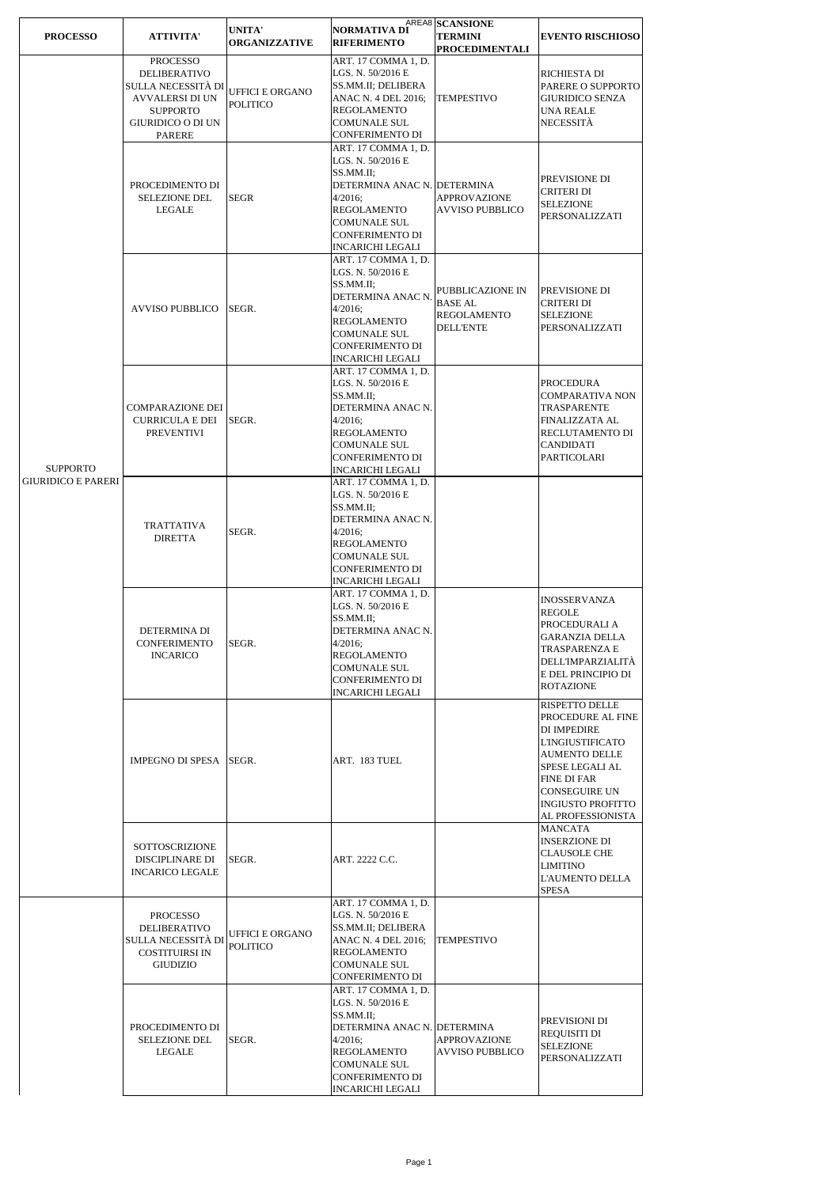| <b>PROCESSO</b>                              | <b>ATTIVITA'</b>                                                                                                                  | UNITA'<br><b>ORGANIZZATIVE</b>     | NORMATIVA DI<br><b>RIFERIMENTO</b>                                                                                                                                                         | AREA8 SCANSIONE<br><b>TERMINI</b><br><b>PROCEDIMENTALI</b>            | <b>EVENTO RISCHIOSO</b>                                                                                                                                                                                                        |
|----------------------------------------------|-----------------------------------------------------------------------------------------------------------------------------------|------------------------------------|--------------------------------------------------------------------------------------------------------------------------------------------------------------------------------------------|-----------------------------------------------------------------------|--------------------------------------------------------------------------------------------------------------------------------------------------------------------------------------------------------------------------------|
| <b>SUPPORTO</b><br><b>GIURIDICO E PARERI</b> | <b>PROCESSO</b><br>DELIBERATIVO<br>SULLA NECESSITÀ DI<br><b>AVVALERSI DI UN</b><br><b>SUPPORTO</b><br>GIURIDICO O DI UN<br>PARERE | UFFICI E ORGANO<br><b>POLITICO</b> | ART. 17 COMMA 1, D.<br>LGS. N. 50/2016 E<br>SS.MM.II; DELIBERA<br>ANAC N. 4 DEL 2016;<br><b>REGOLAMENTO</b><br><b>COMUNALE SUL</b><br>CONFERIMENTO DI                                      | <b>TEMPESTIVO</b>                                                     | RICHIESTA DI<br>PARERE O SUPPORTO<br><b>GIURIDICO SENZA</b><br><b>UNA REALE</b><br>NECESSITÀ                                                                                                                                   |
|                                              | PROCEDIMENTO DI<br><b>SELEZIONE DEL</b><br>LEGALE                                                                                 | <b>SEGR</b>                        | ART. 17 COMMA 1, D.<br>LGS. N. 50/2016 E<br>SS.MM.II;<br>DETERMINA ANAC N. DETERMINA<br>4/2016:<br>REGOLAMENTO<br><b>COMUNALE SUL</b><br><b>CONFERIMENTO DI</b><br><b>INCARICHI LEGALI</b> | <b>APPROVAZIONE</b><br><b>AVVISO PUBBLICO</b>                         | PREVISIONE DI<br><b>CRITERI DI</b><br><b>SELEZIONE</b><br>PERSONALIZZATI                                                                                                                                                       |
|                                              | <b>AVVISO PUBBLICO</b>                                                                                                            | SEGR.                              | ART. 17 COMMA 1, D.<br>LGS. N. 50/2016 E<br>SS.MM.II;<br>DETERMINA ANAC N<br>$4/2016$ ;<br>REGOLAMENTO<br><b>COMUNALE SUL</b><br>CONFERIMENTO DI<br>INCARICHI LEGALI                       | PUBBLICAZIONE IN<br><b>BASE AL</b><br>REGOLAMENTO<br><b>DELL'ENTE</b> | PREVISIONE DI<br>CRITERI DI<br><b>SELEZIONE</b><br>PERSONALIZZATI                                                                                                                                                              |
|                                              | <b>COMPARAZIONE DEI</b><br><b>CURRICULA E DEI</b><br><b>PREVENTIVI</b>                                                            | SEGR.                              | ART. 17 COMMA 1, D.<br>LGS. N. 50/2016 E<br>SS.MM.II;<br>DETERMINA ANAC N.<br>4/2016;<br>REGOLAMENTO<br><b>COMUNALE SUL</b><br><b>CONFERIMENTO DI</b><br><b>INCARICHI LEGALI</b>           |                                                                       | PROCEDURA<br>COMPARATIVA NON<br>TRASPARENTE<br>FINALIZZATA AL<br>RECLUTAMENTO DI<br>CANDIDATI<br>PARTICOLARI                                                                                                                   |
|                                              | TRATTATIVA<br><b>DIRETTA</b>                                                                                                      | SEGR.                              | ART. 17 COMMA 1, D.<br>LGS. N. 50/2016 E<br>SS.MM.II;<br>DETERMINA ANAC N.<br>$4/2016$ ;<br>REGOLAMENTO<br><b>COMUNALE SUL</b><br>CONFERIMENTO DI<br><b>INCARICHI LEGALI</b>               |                                                                       |                                                                                                                                                                                                                                |
|                                              | DETERMINA DI<br>CONFERIMENTO<br><b>INCARICO</b>                                                                                   | SEGR.                              | ART. 17 COMMA 1, D.<br>LGS. N. 50/2016 E<br>SS.MM.II;<br>DETERMINA ANAC N.<br>4/2016;<br>REGOLAMENTO<br>COMUNALE SUL<br>CONFERIMENTO DI<br><b>INCARICHI LEGALI</b>                         |                                                                       | INOSSERVANZA<br>REGOLE<br>PROCEDURALI A<br>GARANZIA DELLA<br>TRASPARENZA E<br>DELL'IMPARZIALITÀ<br>E DEL PRINCIPIO DI<br><b>ROTAZIONE</b>                                                                                      |
|                                              | IMPEGNO DI SPESA SEGR.                                                                                                            |                                    | ART. 183 TUEL                                                                                                                                                                              |                                                                       | <b>RISPETTO DELLE</b><br>PROCEDURE AL FINE<br>DI IMPEDIRE<br><b>L'INGIUSTIFICATO</b><br><b>AUMENTO DELLE</b><br>SPESE LEGALI AL<br><b>FINE DI FAR</b><br><b>CONSEGUIRE UN</b><br><b>INGIUSTO PROFITTO</b><br>AL PROFESSIONISTA |
|                                              | SOTTOSCRIZIONE<br><b>DISCIPLINARE DI</b><br><b>INCARICO LEGALE</b>                                                                | SEGR.                              | ART. 2222 C.C.                                                                                                                                                                             |                                                                       | MANCATA<br>INSERZIONE DI<br><b>CLAUSOLE CHE</b><br>LIMITINO<br>L'AUMENTO DELLA<br>SPESA                                                                                                                                        |
|                                              | PROCESSO<br><b>DELIBERATIVO</b><br>SULLA NECESSITÀ DI<br><b>COSTITUIRSI IN</b><br>GIUDIZIO                                        | UFFICI E ORGANO<br>POLITICO        | ART. 17 COMMA 1, D.<br>LGS. N. 50/2016 E<br>SS.MM.II; DELIBERA<br>ANAC N. 4 DEL 2016;<br>REGOLAMENTO<br><b>COMUNALE SUL</b><br>CONFERIMENTO DI                                             | <b>TEMPESTIVO</b>                                                     |                                                                                                                                                                                                                                |
|                                              | PROCEDIMENTO DI<br><b>SELEZIONE DEL</b><br>LEGALE                                                                                 | SEGR.                              | ART. 17 COMMA 1, D.<br>LGS. N. 50/2016 E<br>SS.MM.II;<br>DETERMINA ANAC N. DETERMINA<br>$4/2016$ ;<br>REGOLAMENTO<br><b>COMUNALE SUL</b><br>CONFERIMENTO DI<br><b>INCARICHI LEGALI</b>     | <b>APPROVAZIONE</b><br><b>AVVISO PUBBLICO</b>                         | PREVISIONI DI<br>REQUISITI DI<br><b>SELEZIONE</b><br>PERSONALIZZATI                                                                                                                                                            |